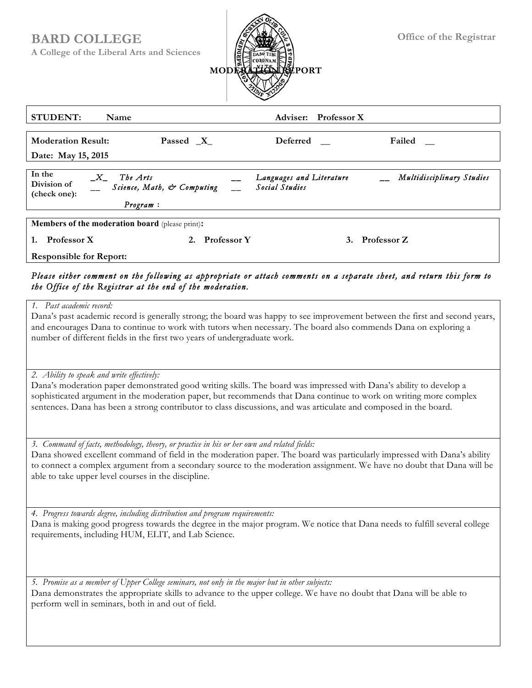## **BARD COLLEGE**

**A College of the Liberal Arts and Sciences**



| <b>STUDENT:</b><br>Name                                                                                                                                                | <b>Adviser:</b>                                    | <b>Professor</b> X                         |  |                           |
|------------------------------------------------------------------------------------------------------------------------------------------------------------------------|----------------------------------------------------|--------------------------------------------|--|---------------------------|
| <b>Moderation Result:</b><br>Date: May 15, 2015                                                                                                                        | Passed $X$                                         | Deferred                                   |  | Failed                    |
| In the<br>$X_{-}$<br>Division of<br>(check one):                                                                                                                       | The Arts<br>Science, Math, & Computing<br>Program: | Languages and Literature<br>Social Studies |  | Multidisciplinary Studies |
| <b>Members of the moderation board</b> (please print):<br><b>Professor X</b><br><b>Professor Z</b><br><b>Professor</b> Y<br>1.<br>3.<br><b>Responsible for Report:</b> |                                                    |                                            |  |                           |

## *Please either comment on the following as appropriate or attach comments on a separate sheet, and return this form to the Office of the Registrar at the end of the moderation.*

*1. Past academic record:* 

Dana's past academic record is generally strong; the board was happy to see improvement between the first and second years, and encourages Dana to continue to work with tutors when necessary. The board also commends Dana on exploring a number of different fields in the first two years of undergraduate work.

*2. Ability to speak and write effectively:* 

Dana's moderation paper demonstrated good writing skills. The board was impressed with Dana's ability to develop a sophisticated argument in the moderation paper, but recommends that Dana continue to work on writing more complex sentences. Dana has been a strong contributor to class discussions, and was articulate and composed in the board.

*3. Command of facts, methodology, theory, or practice in his or her own and related fields:* 

Dana showed excellent command of field in the moderation paper. The board was particularly impressed with Dana's ability to connect a complex argument from a secondary source to the moderation assignment. We have no doubt that Dana will be able to take upper level courses in the discipline.

*4. Progress towards degree, including distribution and program requirements:*  Dana is making good progress towards the degree in the major program. We notice that Dana needs to fulfill several college requirements, including HUM, ELIT, and Lab Science.

*5. Promise as a member of Upper College seminars, not only in the major but in other subjects:* 

Dana demonstrates the appropriate skills to advance to the upper college. We have no doubt that Dana will be able to perform well in seminars, both in and out of field.